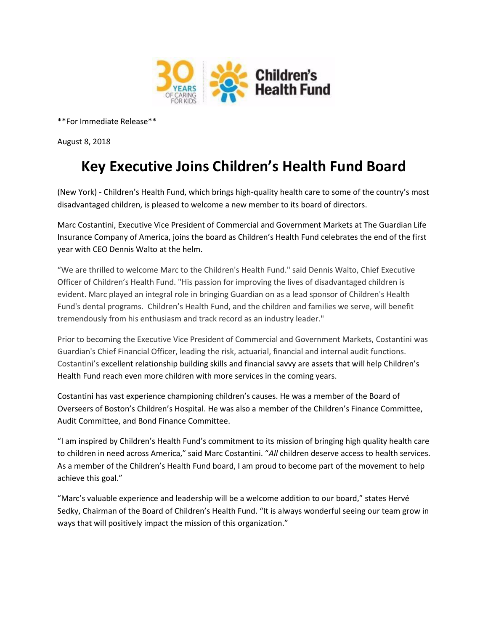

\*\*For Immediate Release\*\*

August 8, 2018

## **Key Executive Joins Children's Health Fund Board**

(New York) - Children's Health Fund, which brings high-quality health care to some of the country's most disadvantaged children, is pleased to welcome a new member to its board of directors.

Marc Costantini, Executive Vice President of Commercial and Government Markets at The Guardian Life Insurance Company of America, joins the board as Children's Health Fund celebrates the end of the first year with CEO Dennis Walto at the helm.

"We are thrilled to welcome Marc to the Children's Health Fund." said Dennis Walto, Chief Executive Officer of Children's Health Fund. "His passion for improving the lives of disadvantaged children is evident. Marc played an integral role in bringing Guardian on as a lead sponsor of Children's Health Fund's dental programs. Children's Health Fund, and the children and families we serve, will benefit tremendously from his enthusiasm and track record as an industry leader."

Prior to becoming the Executive Vice President of Commercial and Government Markets, Costantini was Guardian's Chief Financial Officer, leading the risk, actuarial, financial and internal audit functions. Costantini's excellent relationship building skills and financial savvy are assets that will help Children's Health Fund reach even more children with more services in the coming years.

Costantini has vast experience championing children's causes. He was a member of the Board of Overseers of Boston's Children's Hospital. He was also a member of the Children's Finance Committee, Audit Committee, and Bond Finance Committee.

"I am inspired by Children's Health Fund's commitment to its mission of bringing high quality health care to children in need across America," said Marc Costantini. "*All* children deserve access to health services. As a member of the Children's Health Fund board, I am proud to become part of the movement to help achieve this goal."

"Marc's valuable experience and leadership will be a welcome addition to our board," states Hervé Sedky, Chairman of the Board of Children's Health Fund. "It is always wonderful seeing our team grow in ways that will positively impact the mission of this organization."